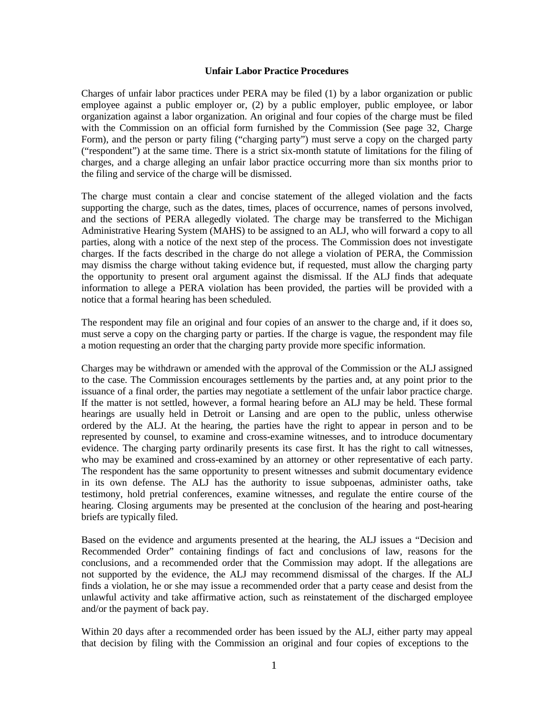## **Unfair Labor Practice Procedures**

Charges of unfair labor practices under PERA may be filed (1) by a labor organization or public employee against a public employer or, (2) by a public employer, public employee, or labor organization against a labor organization. An original and four copies of the charge must be filed with the Commission on an official form furnished by the Commission (See page 32, Charge Form), and the person or party filing ("charging party") must serve a copy on the charged party ("respondent") at the same time. There is a strict six-month statute of limitations for the filing of charges, and a charge alleging an unfair labor practice occurring more than six months prior to the filing and service of the charge will be dismissed.

The charge must contain a clear and concise statement of the alleged violation and the facts supporting the charge, such as the dates, times, places of occurrence, names of persons involved, and the sections of PERA allegedly violated. The charge may be transferred to the Michigan Administrative Hearing System (MAHS) to be assigned to an ALJ, who will forward a copy to all parties, along with a notice of the next step of the process. The Commission does not investigate charges. If the facts described in the charge do not allege a violation of PERA, the Commission may dismiss the charge without taking evidence but, if requested, must allow the charging party the opportunity to present oral argument against the dismissal. If the ALJ finds that adequate information to allege a PERA violation has been provided, the parties will be provided with a notice that a formal hearing has been scheduled.

The respondent may file an original and four copies of an answer to the charge and, if it does so, must serve a copy on the charging party or parties. If the charge is vague, the respondent may file a motion requesting an order that the charging party provide more specific information.

Charges may be withdrawn or amended with the approval of the Commission or the ALJ assigned to the case. The Commission encourages settlements by the parties and, at any point prior to the issuance of a final order, the parties may negotiate a settlement of the unfair labor practice charge. If the matter is not settled, however, a formal hearing before an ALJ may be held. These formal hearings are usually held in Detroit or Lansing and are open to the public, unless otherwise ordered by the ALJ. At the hearing, the parties have the right to appear in person and to be represented by counsel, to examine and cross-examine witnesses, and to introduce documentary evidence. The charging party ordinarily presents its case first. It has the right to call witnesses, who may be examined and cross-examined by an attorney or other representative of each party. The respondent has the same opportunity to present witnesses and submit documentary evidence in its own defense. The ALJ has the authority to issue subpoenas, administer oaths, take testimony, hold pretrial conferences, examine witnesses, and regulate the entire course of the hearing. Closing arguments may be presented at the conclusion of the hearing and post-hearing briefs are typically filed.

Based on the evidence and arguments presented at the hearing, the ALJ issues a "Decision and Recommended Order" containing findings of fact and conclusions of law, reasons for the conclusions, and a recommended order that the Commission may adopt. If the allegations are not supported by the evidence, the ALJ may recommend dismissal of the charges. If the ALJ finds a violation, he or she may issue a recommended order that a party cease and desist from the unlawful activity and take affirmative action, such as reinstatement of the discharged employee and/or the payment of back pay.

Within 20 days after a recommended order has been issued by the ALJ, either party may appeal that decision by filing with the Commission an original and four copies of exceptions to the